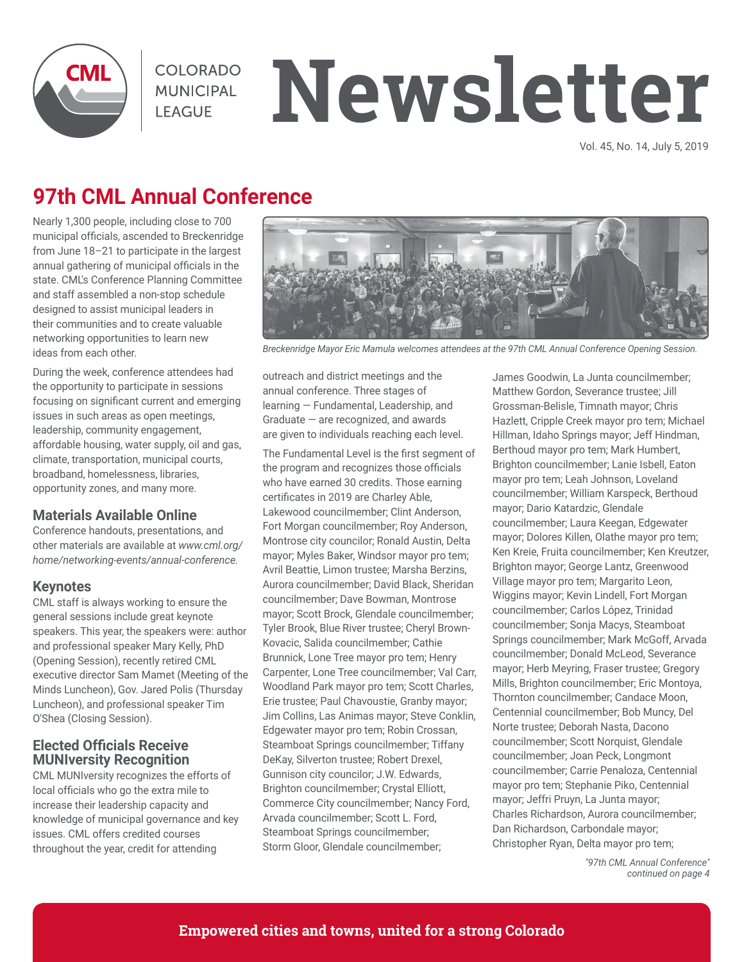

COLORADO **MUNICIPAL LEAGUE** 

# **Newsletter**

Vol. 45, No. 14, July 5, 2019

## **97th CML Annual Conference**

Nearly 1,300 people, including close to 700 municipal officials, ascended to Breckenridge from June 18–21 to participate in the largest annual gathering of municipal officials in the state. CML's Conference Planning Committee and staff assembled a non-stop schedule designed to assist municipal leaders in their communities and to create valuable networking opportunities to learn new ideas from each other.

During the week, conference attendees had the opportunity to participate in sessions focusing on significant current and emerging issues in such areas as open meetings, leadership, community engagement, affordable housing, water supply, oil and gas, climate, transportation, municipal courts, broadband, homelessness, libraries, opportunity zones, and many more.

#### **Materials Available Online**

Conference handouts, presentations, and other materials are available at *www.cml.org/ home/networking-events/annual-conference.*

#### **Keynotes**

CML staff is always working to ensure the general sessions include great keynote speakers. This year, the speakers were: author and professional speaker Mary Kelly, PhD (Opening Session), recently retired CML executive director Sam Mamet (Meeting of the Minds Luncheon), Gov. Jared Polis (Thursday Luncheon), and professional speaker Tim O'Shea (Closing Session).

#### **Elected Officials Receive MUNIversity Recognition**

CML MUNIversity recognizes the efforts of local officials who go the extra mile to increase their leadership capacity and knowledge of municipal governance and key issues. CML offers credited courses throughout the year, credit for attending



*Breckenridge Mayor Eric Mamula welcomes attendees at the 97th CML Annual Conference Opening Session.*

outreach and district meetings and the annual conference. Three stages of learning — Fundamental, Leadership, and Graduate — are recognized, and awards are given to individuals reaching each level.

The Fundamental Level is the first segment of the program and recognizes those officials who have earned 30 credits. Those earning certificates in 2019 are Charley Able, Lakewood councilmember; Clint Anderson, Fort Morgan councilmember; Roy Anderson, Montrose city councilor; Ronald Austin, Delta mayor; Myles Baker, Windsor mayor pro tem; Avril Beattie, Limon trustee; Marsha Berzins, Aurora councilmember; David Black, Sheridan councilmember; Dave Bowman, Montrose mayor; Scott Brock, Glendale councilmember; Tyler Brook, Blue River trustee; Cheryl Brown-Kovacic, Salida councilmember; Cathie Brunnick, Lone Tree mayor pro tem; Henry Carpenter, Lone Tree councilmember; Val Carr, Woodland Park mayor pro tem; Scott Charles, Erie trustee; Paul Chavoustie, Granby mayor; Jim Collins, Las Animas mayor; Steve Conklin, Edgewater mayor pro tem; Robin Crossan, Steamboat Springs councilmember; Tiffany DeKay, Silverton trustee; Robert Drexel, Gunnison city councilor; J.W. Edwards, Brighton councilmember; Crystal Elliott, Commerce City councilmember; Nancy Ford, Arvada councilmember; Scott L. Ford, Steamboat Springs councilmember; Storm Gloor, Glendale councilmember;

James Goodwin, La Junta councilmember; Matthew Gordon, Severance trustee; Jill Grossman-Belisle, Timnath mayor; Chris Hazlett, Cripple Creek mayor pro tem; Michael Hillman, Idaho Springs mayor; Jeff Hindman, Berthoud mayor pro tem; Mark Humbert, Brighton councilmember; Lanie Isbell, Eaton mayor pro tem; Leah Johnson, Loveland councilmember; William Karspeck, Berthoud mayor; Dario Katardzic, Glendale councilmember; Laura Keegan, Edgewater mayor; Dolores Killen, Olathe mayor pro tem; Ken Kreie, Fruita councilmember; Ken Kreutzer, Brighton mayor; George Lantz, Greenwood Village mayor pro tem; Margarito Leon, Wiggins mayor; Kevin Lindell, Fort Morgan councilmember; Carlos López, Trinidad councilmember; Sonja Macys, Steamboat Springs councilmember; Mark McGoff, Arvada councilmember; Donald McLeod, Severance mayor; Herb Meyring, Fraser trustee; Gregory Mills, Brighton councilmember; Eric Montoya, Thornton councilmember; Candace Moon, Centennial councilmember; Bob Muncy, Del Norte trustee; Deborah Nasta, Dacono councilmember; Scott Norquist, Glendale councilmember; Joan Peck, Longmont councilmember; Carrie Penaloza, Centennial mayor pro tem; Stephanie Piko, Centennial mayor; Jeffri Pruyn, La Junta mayor; Charles Richardson, Aurora councilmember; Dan Richardson, Carbondale mayor; Christopher Ryan, Delta mayor pro tem;

> *"97th CML Annual Conference" continued on page 4*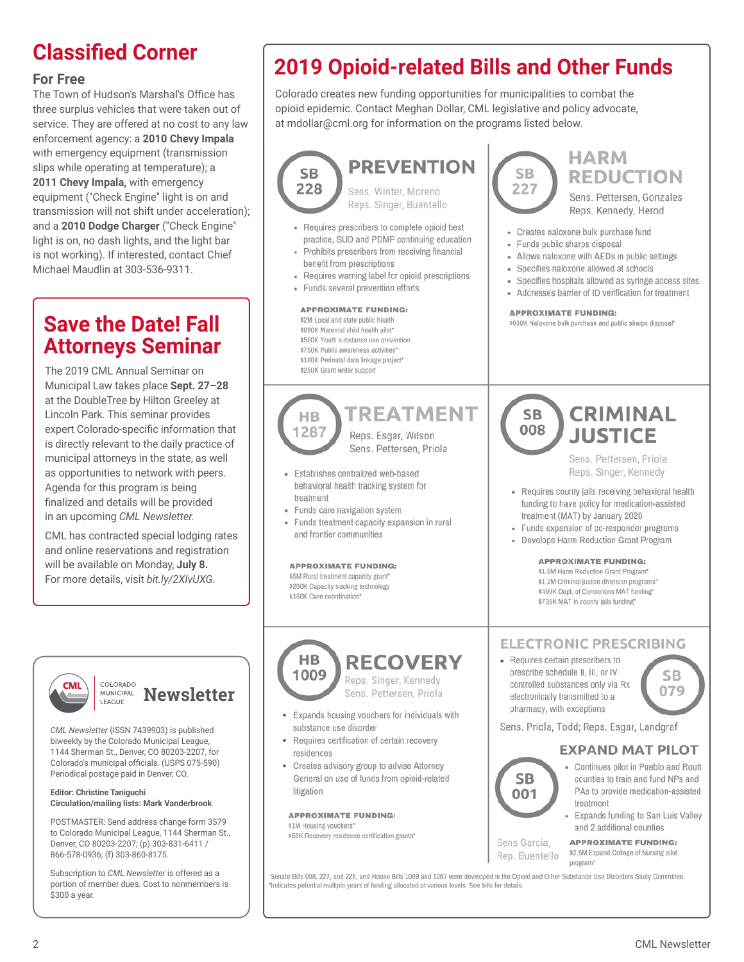#### **For Free**

The Town of Hudson's Marshal's Office has three surplus vehicles that were taken out of service. They are offered at no cost to any law enforcement agency: a **2010 Chevy Impala**  with emergency equipment (transmission slips while operating at temperature); a **2011 Chevy Impala,** with emergency equipment ("Check Engine" light is on and transmission will not shift under acceleration); and a **2010 Dodge Charger** ("Check Engine" light is on, no dash lights, and the light bar is not working). If interested, contact Chief Michael Maudlin at 303-536-9311.

## **Save the Date! Fall Attorneys Seminar**

The 2019 CML Annual Seminar on Municipal Law takes place **Sept. 27–28** at the DoubleTree by Hilton Greeley at Lincoln Park. This seminar provides expert Colorado-specific information that is directly relevant to the daily practice of municipal attorneys in the state, as well as opportunities to network with peers. Agenda for this program is being finalized and details will be provided in an upcoming *CML Newsletter.*

CML has contracted special lodging rates and online reservations and registration will be available on Monday, **July 8.** For more details, visit *bit.ly/2XIvUXG.*



#### COLORADO **MUNICIPAL Newsletter** LEAGUE

*CML Newsletter* (ISSN 7439903) is published biweekly by the Colorado Municipal League, 1144 Sherman St., Denver, CO 80203-2207, for Colorado's municipal officials. (USPS 075-590) Periodical postage paid in Denver, CO.

#### **Editor: Christine Taniguchi Circulation/mailing lists: Mark Vanderbrook**

POSTMASTER: Send address change form 3579 to Colorado Municipal League, 1144 Sherman St., Denver, CO 80203-2207; (p) 303-831-6411 / 866-578-0936; (f) 303-860-8175.

Subscription to *CML Newsletter* is offered as a portion of member dues. Cost to nonmembers is \$300 a year.

## **Classified Corner 2019 Opioid-related Bills and Other Funds**

Colorado creates new funding opportunities for municipalities to combat the opioid epidemic. Contact Meghan Dollar, CML legislative and policy advocate, at mdollar@cml.org for information on the programs listed below.



Senate Bills 008, 227, and 228, and House Bills 1009 and 1287 were developed in the Opioid and Other Substance Use Disorders Study Committee. Indicates potential multiple years of funding allocated at various levels. See bills for details.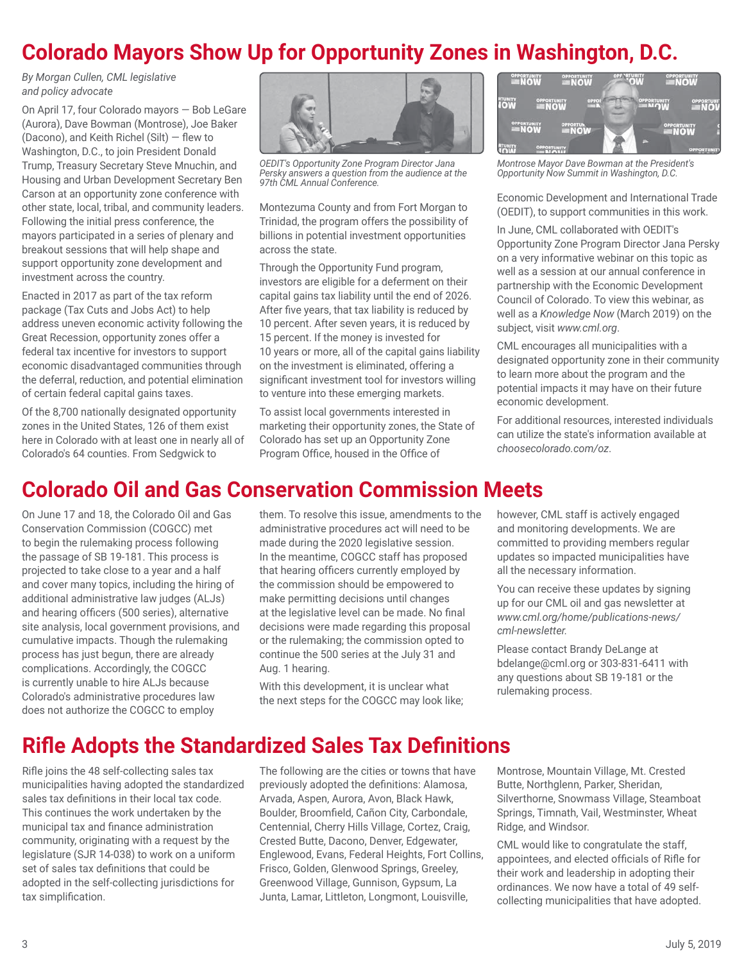## **Colorado Mayors Show Up for Opportunity Zones in Washington, D.C.**

*By Morgan Cullen, CML legislative and policy advocate*

On April 17, four Colorado mayors — Bob LeGare (Aurora), Dave Bowman (Montrose), Joe Baker (Dacono), and Keith Richel (Silt) — flew to Washington, D.C., to join President Donald Trump, Treasury Secretary Steve Mnuchin, and Housing and Urban Development Secretary Ben Carson at an opportunity zone conference with other state, local, tribal, and community leaders. Following the initial press conference, the mayors participated in a series of plenary and breakout sessions that will help shape and support opportunity zone development and investment across the country.

Enacted in 2017 as part of the tax reform package (Tax Cuts and Jobs Act) to help address uneven economic activity following the Great Recession, opportunity zones offer a federal tax incentive for investors to support economic disadvantaged communities through the deferral, reduction, and potential elimination of certain federal capital gains taxes.

Of the 8,700 nationally designated opportunity zones in the United States, 126 of them exist here in Colorado with at least one in nearly all of Colorado's 64 counties. From Sedgwick to



*OEDIT's Opportunity Zone Program Director Jana Persky answers a question from the audience at the 97th CML Annual Conference.*

Montezuma County and from Fort Morgan to Trinidad, the program offers the possibility of billions in potential investment opportunities across the state.

Through the Opportunity Fund program, investors are eligible for a deferment on their capital gains tax liability until the end of 2026. After five years, that tax liability is reduced by 10 percent. After seven years, it is reduced by 15 percent. If the money is invested for 10 years or more, all of the capital gains liability on the investment is eliminated, offering a significant investment tool for investors willing to venture into these emerging markets.

To assist local governments interested in marketing their opportunity zones, the State of Colorado has set up an Opportunity Zone Program Office, housed in the Office of



*Montrose Mayor Dave Bowman at the President's Opportunity Now Summit in Washington, D.C.*

Economic Development and International Trade (OEDIT), to support communities in this work.

In June, CML collaborated with OEDIT's Opportunity Zone Program Director Jana Persky on a very informative webinar on this topic as well as a session at our annual conference in partnership with the Economic Development Council of Colorado. To view this webinar, as well as a *Knowledge Now* (March 2019) on the subject, visit *www.cml.org*.

CML encourages all municipalities with a designated opportunity zone in their community to learn more about the program and the potential impacts it may have on their future economic development.

For additional resources, interested individuals can utilize the state's information available at *choosecolorado.com/oz*.

## **Colorado Oil and Gas Conservation Commission Meets**

On June 17 and 18, the Colorado Oil and Gas Conservation Commission (COGCC) met to begin the rulemaking process following the passage of SB 19-181. This process is projected to take close to a year and a half and cover many topics, including the hiring of additional administrative law judges (ALJs) and hearing officers (500 series), alternative site analysis, local government provisions, and cumulative impacts. Though the rulemaking process has just begun, there are already complications. Accordingly, the COGCC is currently unable to hire ALJs because Colorado's administrative procedures law does not authorize the COGCC to employ

them. To resolve this issue, amendments to the administrative procedures act will need to be made during the 2020 legislative session. In the meantime, COGCC staff has proposed that hearing officers currently employed by the commission should be empowered to make permitting decisions until changes at the legislative level can be made. No final decisions were made regarding this proposal or the rulemaking; the commission opted to continue the 500 series at the July 31 and Aug. 1 hearing.

With this development, it is unclear what the next steps for the COGCC may look like; however, CML staff is actively engaged and monitoring developments. We are committed to providing members regular updates so impacted municipalities have all the necessary information.

You can receive these updates by signing up for our CML oil and gas newsletter at *www.cml.org/home/publications-news/ cml-newsletter.*

Please contact Brandy DeLange at bdelange@cml.org or 303-831-6411 with any questions about SB 19-181 or the rulemaking process.

## **Rifle Adopts the Standardized Sales Tax Definitions**

Rifle joins the 48 self-collecting sales tax municipalities having adopted the standardized sales tax definitions in their local tax code. This continues the work undertaken by the municipal tax and finance administration community, originating with a request by the legislature (SJR 14-038) to work on a uniform set of sales tax definitions that could be adopted in the self-collecting jurisdictions for tax simplification.

The following are the cities or towns that have previously adopted the definitions: Alamosa, Arvada, Aspen, Aurora, Avon, Black Hawk, Boulder, Broomfield, Cañon City, Carbondale, Centennial, Cherry Hills Village, Cortez, Craig, Crested Butte, Dacono, Denver, Edgewater, Englewood, Evans, Federal Heights, Fort Collins, Frisco, Golden, Glenwood Springs, Greeley, Greenwood Village, Gunnison, Gypsum, La Junta, Lamar, Littleton, Longmont, Louisville,

Montrose, Mountain Village, Mt. Crested Butte, Northglenn, Parker, Sheridan, Silverthorne, Snowmass Village, Steamboat Springs, Timnath, Vail, Westminster, Wheat Ridge, and Windsor.

CML would like to congratulate the staff, appointees, and elected officials of Rifle for their work and leadership in adopting their ordinances. We now have a total of 49 selfcollecting municipalities that have adopted.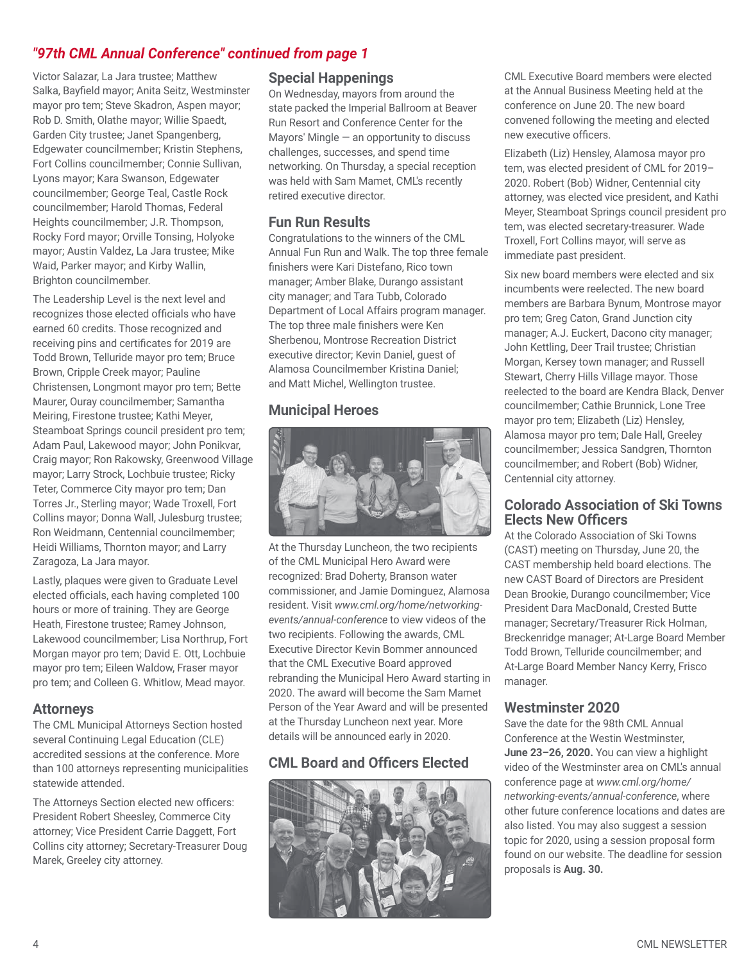#### *"97th CML Annual Conference" continued from page 1*

Victor Salazar, La Jara trustee; Matthew Salka, Bayfield mayor; Anita Seitz, Westminster mayor pro tem; Steve Skadron, Aspen mayor; Rob D. Smith, Olathe mayor; Willie Spaedt, Garden City trustee; Janet Spangenberg, Edgewater councilmember; Kristin Stephens, Fort Collins councilmember; Connie Sullivan, Lyons mayor; Kara Swanson, Edgewater councilmember; George Teal, Castle Rock councilmember; Harold Thomas, Federal Heights councilmember; J.R. Thompson, Rocky Ford mayor; Orville Tonsing, Holyoke mayor; Austin Valdez, La Jara trustee; Mike Waid, Parker mayor; and Kirby Wallin, Brighton councilmember.

The Leadership Level is the next level and recognizes those elected officials who have earned 60 credits. Those recognized and receiving pins and certificates for 2019 are Todd Brown, Telluride mayor pro tem; Bruce Brown, Cripple Creek mayor; Pauline Christensen, Longmont mayor pro tem; Bette Maurer, Ouray councilmember; Samantha Meiring, Firestone trustee; Kathi Meyer, Steamboat Springs council president pro tem; Adam Paul, Lakewood mayor; John Ponikvar, Craig mayor; Ron Rakowsky, Greenwood Village mayor; Larry Strock, Lochbuie trustee; Ricky Teter, Commerce City mayor pro tem; Dan Torres Jr., Sterling mayor; Wade Troxell, Fort Collins mayor; Donna Wall, Julesburg trustee; Ron Weidmann, Centennial councilmember; Heidi Williams, Thornton mayor; and Larry Zaragoza, La Jara mayor.

Lastly, plaques were given to Graduate Level elected officials, each having completed 100 hours or more of training. They are George Heath, Firestone trustee; Ramey Johnson, Lakewood councilmember; Lisa Northrup, Fort Morgan mayor pro tem; David E. Ott, Lochbuie mayor pro tem; Eileen Waldow, Fraser mayor pro tem; and Colleen G. Whitlow, Mead mayor.

#### **Attorneys**

The CML Municipal Attorneys Section hosted several Continuing Legal Education (CLE) accredited sessions at the conference. More than 100 attorneys representing municipalities statewide attended.

The Attorneys Section elected new officers: President Robert Sheesley, Commerce City attorney; Vice President Carrie Daggett, Fort Collins city attorney; Secretary-Treasurer Doug Marek, Greeley city attorney.

#### **Special Happenings**

On Wednesday, mayors from around the state packed the Imperial Ballroom at Beaver Run Resort and Conference Center for the Mayors' Mingle — an opportunity to discuss challenges, successes, and spend time networking. On Thursday, a special reception was held with Sam Mamet, CML's recently retired executive director.

#### **Fun Run Results**

Congratulations to the winners of the CML Annual Fun Run and Walk. The top three female finishers were Kari Distefano, Rico town manager; Amber Blake, Durango assistant city manager; and Tara Tubb, Colorado Department of Local Affairs program manager. The top three male finishers were Ken Sherbenou, Montrose Recreation District executive director; Kevin Daniel, guest of Alamosa Councilmember Kristina Daniel; and Matt Michel, Wellington trustee.

#### **Municipal Heroes**



At the Thursday Luncheon, the two recipients of the CML Municipal Hero Award were recognized: Brad Doherty, Branson water commissioner, and Jamie Dominguez, Alamosa resident. Visit *www.cml.org/home/networkingevents/annual-conference* to view videos of the two recipients. Following the awards, CML Executive Director Kevin Bommer announced that the CML Executive Board approved rebranding the Municipal Hero Award starting in 2020. The award will become the Sam Mamet Person of the Year Award and will be presented at the Thursday Luncheon next year. More details will be announced early in 2020.

### **CML Board and Officers Elected**



CML Executive Board members were elected at the Annual Business Meeting held at the conference on June 20. The new board convened following the meeting and elected new executive officers.

Elizabeth (Liz) Hensley, Alamosa mayor pro tem, was elected president of CML for 2019– 2020. Robert (Bob) Widner, Centennial city attorney, was elected vice president, and Kathi Meyer, Steamboat Springs council president pro tem, was elected secretary-treasurer. Wade Troxell, Fort Collins mayor, will serve as immediate past president.

Six new board members were elected and six incumbents were reelected. The new board members are Barbara Bynum, Montrose mayor pro tem; Greg Caton, Grand Junction city manager; A.J. Euckert, Dacono city manager; John Kettling, Deer Trail trustee; Christian Morgan, Kersey town manager; and Russell Stewart, Cherry Hills Village mayor. Those reelected to the board are Kendra Black, Denver councilmember; Cathie Brunnick, Lone Tree mayor pro tem; Elizabeth (Liz) Hensley, Alamosa mayor pro tem; Dale Hall, Greeley councilmember; Jessica Sandgren, Thornton councilmember; and Robert (Bob) Widner, Centennial city attorney.

#### **Colorado Association of Ski Towns Elects New Officers**

At the Colorado Association of Ski Towns (CAST) meeting on Thursday, June 20, the CAST membership held board elections. The new CAST Board of Directors are President Dean Brookie, Durango councilmember; Vice President Dara MacDonald, Crested Butte manager; Secretary/Treasurer Rick Holman, Breckenridge manager; At-Large Board Member Todd Brown, Telluride councilmember; and At-Large Board Member Nancy Kerry, Frisco manager.

#### **Westminster 2020**

Save the date for the 98th CML Annual Conference at the Westin Westminster, **June 23–26, 2020.** You can view a highlight video of the Westminster area on CML's annual conference page at *www.cml.org/home/ networking-events/annual-conference*, where other future conference locations and dates are also listed. You may also suggest a session topic for 2020, using a session proposal form found on our website. The deadline for session proposals is **Aug. 30.**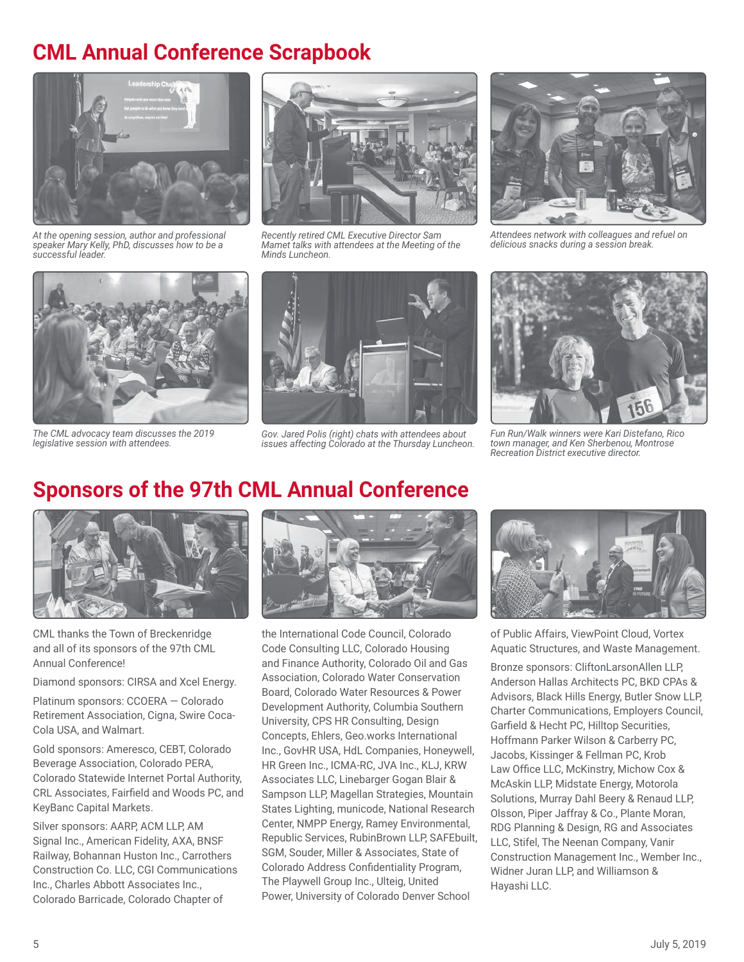## **CML Annual Conference Scrapbook**



*At the opening session, author and professional speaker Mary Kelly, PhD, discusses how to be a successful leader.*



*Recently retired CML Executive Director Sam Mamet talks with attendees at the Meeting of the Minds Luncheon.* 



*Attendees network with colleagues and refuel on delicious snacks during a session break.*



*The CML advocacy team discusses the 2019 legislative session with attendees.*



*Gov. Jared Polis (right) chats with attendees about issues affecting Colorado at the Thursday Luncheon.*



*Fun Run/Walk winners were Kari Distefano, Rico town manager, and Ken Sherbenou, Montrose Recreation District executive director.*

## **Sponsors of the 97th CML Annual Conference**



CML thanks the Town of Breckenridge and all of its sponsors of the 97th CML Annual Conference!

Diamond sponsors: CIRSA and Xcel Energy.

Platinum sponsors: CCOERA — Colorado Retirement Association, Cigna, Swire Coca-Cola USA, and Walmart.

Gold sponsors: Ameresco, CEBT, Colorado Beverage Association, Colorado PERA, Colorado Statewide Internet Portal Authority, CRL Associates, Fairfield and Woods PC, and KeyBanc Capital Markets.

Silver sponsors: AARP, ACM LLP, AM Signal Inc., American Fidelity, AXA, BNSF Railway, Bohannan Huston Inc., Carrothers Construction Co. LLC, CGI Communications Inc., Charles Abbott Associates Inc., Colorado Barricade, Colorado Chapter of



the International Code Council, Colorado Code Consulting LLC, Colorado Housing and Finance Authority, Colorado Oil and Gas Association, Colorado Water Conservation Board, Colorado Water Resources & Power Development Authority, Columbia Southern University, CPS HR Consulting, Design Concepts, Ehlers, Geo.works International Inc., GovHR USA, HdL Companies, Honeywell, HR Green Inc., ICMA-RC, JVA Inc., KLJ, KRW Associates LLC, Linebarger Gogan Blair & Sampson LLP, Magellan Strategies, Mountain States Lighting, municode, National Research Center, NMPP Energy, Ramey Environmental, Republic Services, RubinBrown LLP, SAFEbuilt, SGM, Souder, Miller & Associates, State of Colorado Address Confidentiality Program, The Playwell Group Inc., Ulteig, United Power, University of Colorado Denver School



of Public Affairs, ViewPoint Cloud, Vortex Aquatic Structures, and Waste Management.

Bronze sponsors: CliftonLarsonAllen LLP, Anderson Hallas Architects PC, BKD CPAs & Advisors, Black Hills Energy, Butler Snow LLP, Charter Communications, Employers Council, Garfield & Hecht PC, Hilltop Securities, Hoffmann Parker Wilson & Carberry PC, Jacobs, Kissinger & Fellman PC, Krob Law Office LLC, McKinstry, Michow Cox & McAskin LLP, Midstate Energy, Motorola Solutions, Murray Dahl Beery & Renaud LLP, Olsson, Piper Jaffray & Co., Plante Moran, RDG Planning & Design, RG and Associates LLC, Stifel, The Neenan Company, Vanir Construction Management Inc., Wember Inc., Widner Juran LLP, and Williamson & Hayashi LLC.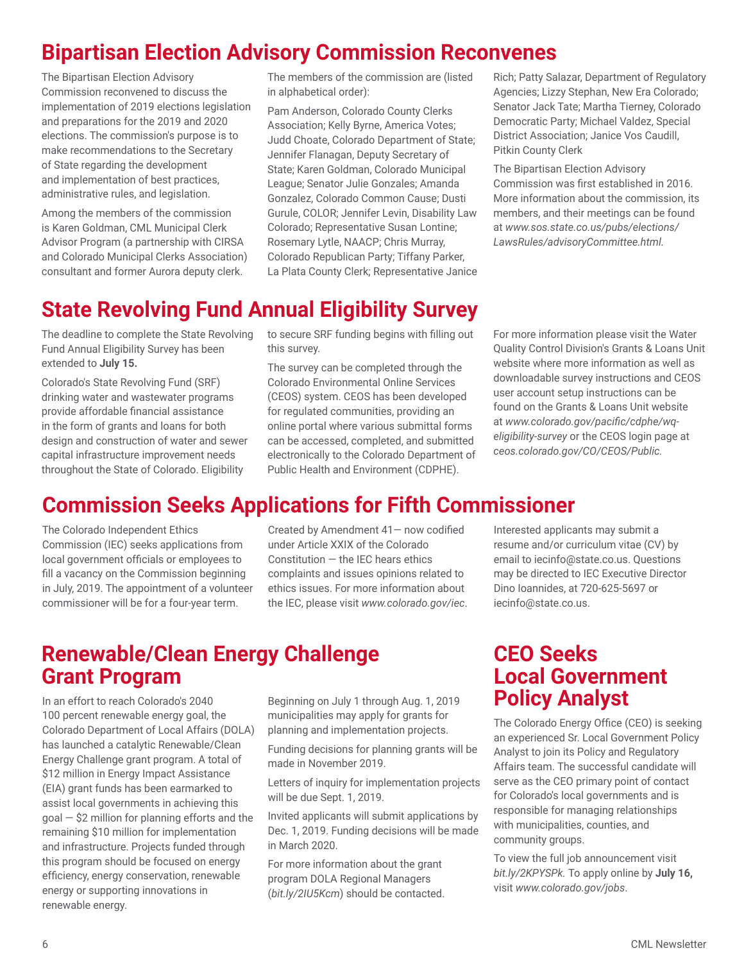## **Bipartisan Election Advisory Commission Reconvenes**

The Bipartisan Election Advisory Commission reconvened to discuss the implementation of 2019 elections legislation and preparations for the 2019 and 2020 elections. The commission's purpose is to make recommendations to the Secretary of State regarding the development and implementation of best practices, administrative rules, and legislation.

Among the members of the commission is Karen Goldman, CML Municipal Clerk Advisor Program (a partnership with CIRSA and Colorado Municipal Clerks Association) consultant and former Aurora deputy clerk.

The members of the commission are (listed in alphabetical order):

Pam Anderson, Colorado County Clerks Association; Kelly Byrne, America Votes; Judd Choate, Colorado Department of State; Jennifer Flanagan, Deputy Secretary of State; Karen Goldman, Colorado Municipal League; Senator Julie Gonzales; Amanda Gonzalez, Colorado Common Cause; Dusti Gurule, COLOR; Jennifer Levin, Disability Law Colorado; Representative Susan Lontine; Rosemary Lytle, NAACP; Chris Murray, Colorado Republican Party; Tiffany Parker, La Plata County Clerk; Representative Janice Rich; Patty Salazar, Department of Regulatory Agencies; Lizzy Stephan, New Era Colorado; Senator Jack Tate; Martha Tierney, Colorado Democratic Party; Michael Valdez, Special District Association; Janice Vos Caudill, Pitkin County Clerk

The Bipartisan Election Advisory Commission was first established in 2016. More information about the commission, its members, and their meetings can be found at *www.sos.state.co.us/pubs/elections/ LawsRules/advisoryCommittee.html.*

## **State Revolving Fund Annual Eligibility Survey**

The deadline to complete the State Revolving Fund Annual Eligibility Survey has been extended to **July 15.**

Colorado's State Revolving Fund (SRF) drinking water and wastewater programs provide affordable financial assistance in the form of grants and loans for both design and construction of water and sewer capital infrastructure improvement needs throughout the State of Colorado. Eligibility

to secure SRF funding begins with filling out this survey.

The survey can be completed through the Colorado Environmental Online Services (CEOS) system. CEOS has been developed for regulated communities, providing an online portal where various submittal forms can be accessed, completed, and submitted electronically to the Colorado Department of Public Health and Environment (CDPHE).

For more information please visit the Water Quality Control Division's Grants & Loans Unit website where more information as well as downloadable survey instructions and CEOS user account setup instructions can be found on the Grants & Loans Unit website at *www.colorado.gov/pacific/cdphe/wqeligibility-survey* or the CEOS login page at *ceos.colorado.gov/CO/CEOS/Public.*

## **Commission Seeks Applications for Fifth Commissioner**

The Colorado Independent Ethics Commission (IEC) seeks applications from local government officials or employees to fill a vacancy on the Commission beginning in July, 2019. The appointment of a volunteer commissioner will be for a four-year term.

Created by Amendment 41— now codified under Article XXIX of the Colorado Constitution  $-$  the IEC hears ethics complaints and issues opinions related to ethics issues. For more information about the IEC, please visit *www.colorado.gov/iec*. Interested applicants may submit a resume and/or curriculum vitae (CV) by email to iecinfo@state.co.us. Questions may be directed to IEC Executive Director Dino Ioannides, at 720-625-5697 or iecinfo@state.co.us.

## **Renewable/Clean Energy Challenge Grant Program**

In an effort to reach Colorado's 2040 100 percent renewable energy goal, the Colorado Department of Local Affairs (DOLA) has launched a catalytic Renewable/Clean Energy Challenge grant program. A total of \$12 million in Energy Impact Assistance (EIA) grant funds has been earmarked to assist local governments in achieving this  $goal - $2$  million for planning efforts and the remaining \$10 million for implementation and infrastructure. Projects funded through this program should be focused on energy efficiency, energy conservation, renewable energy or supporting innovations in renewable energy.

Beginning on July 1 through Aug. 1, 2019 municipalities may apply for grants for planning and implementation projects.

Funding decisions for planning grants will be made in November 2019.

Letters of inquiry for implementation projects will be due Sept. 1, 2019.

Invited applicants will submit applications by Dec. 1, 2019. Funding decisions will be made in March 2020.

For more information about the grant program DOLA Regional Managers (*bit.ly/2IU5Kcm*) should be contacted.

### **CEO Seeks Local Government Policy Analyst**

The Colorado Energy Office (CEO) is seeking an experienced Sr. Local Government Policy Analyst to join its Policy and Regulatory Affairs team. The successful candidate will serve as the CEO primary point of contact for Colorado's local governments and is responsible for managing relationships with municipalities, counties, and community groups.

To view the full job announcement visit *bit.ly/2KPYSPk.* To apply online by **July 16,** visit *www.colorado.gov/jobs*.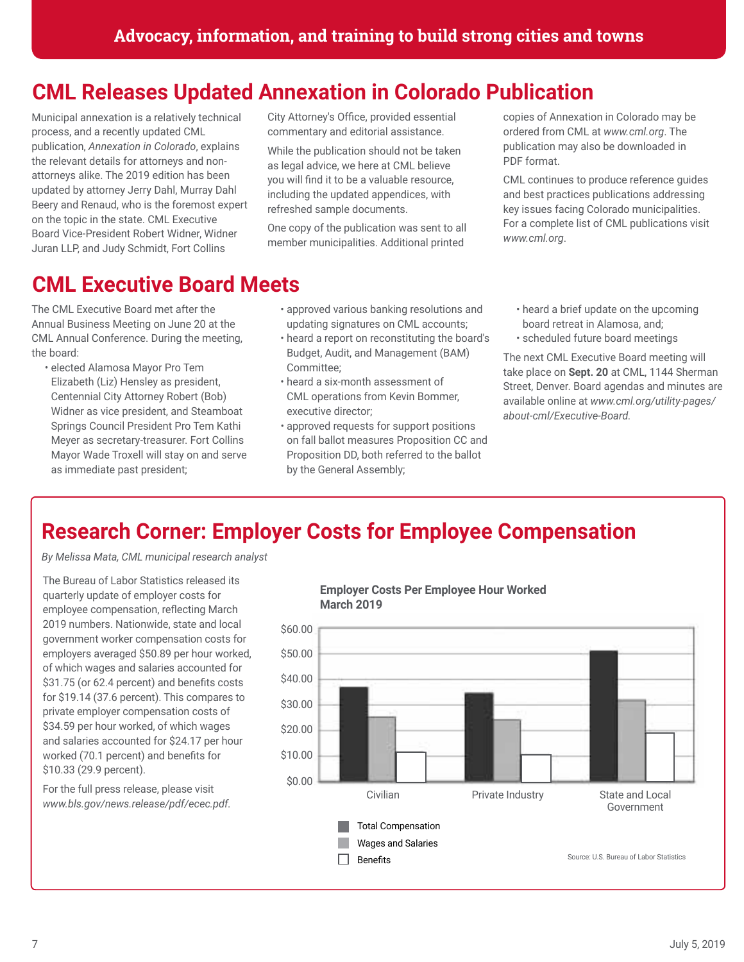## **CML Releases Updated Annexation in Colorado Publication**

Municipal annexation is a relatively technical process, and a recently updated CML publication, *Annexation in Colorado*, explains the relevant details for attorneys and nonattorneys alike. The 2019 edition has been updated by attorney Jerry Dahl, Murray Dahl Beery and Renaud, who is the foremost expert on the topic in the state. CML Executive Board Vice-President Robert Widner, Widner Juran LLP, and Judy Schmidt, Fort Collins

## **CML Executive Board Meets**

The CML Executive Board met after the Annual Business Meeting on June 20 at the CML Annual Conference. During the meeting, the board:

• elected Alamosa Mayor Pro Tem Elizabeth (Liz) Hensley as president, Centennial City Attorney Robert (Bob) Widner as vice president, and Steamboat Springs Council President Pro Tem Kathi Meyer as secretary-treasurer. Fort Collins Mayor Wade Troxell will stay on and serve as immediate past president;

City Attorney's Office, provided essential commentary and editorial assistance.

While the publication should not be taken as legal advice, we here at CML believe you will find it to be a valuable resource, including the updated appendices, with refreshed sample documents.

One copy of the publication was sent to all member municipalities. Additional printed copies of Annexation in Colorado may be ordered from CML at *www.cml.org*. The publication may also be downloaded in PDF format.

CML continues to produce reference guides and best practices publications addressing key issues facing Colorado municipalities. For a complete list of CML publications visit *www.cml.org*.

- approved various banking resolutions and updating signatures on CML accounts;
- heard a report on reconstituting the board's Budget, Audit, and Management (BAM) Committee;
- heard a six-month assessment of CML operations from Kevin Bommer, executive director;
- approved requests for support positions on fall ballot measures Proposition CC and Proposition DD, both referred to the ballot by the General Assembly;
- heard a brief update on the upcoming board retreat in Alamosa, and; • scheduled future board meetings

The next CML Executive Board meeting will take place on **Sept. 20** at CML, 1144 Sherman Street, Denver. Board agendas and minutes are available online at *www.cml.org/utility-pages/ about-cml/Executive-Board.* 

## **Research Corner: Employer Costs for Employee Compensation**

*By Melissa Mata, CML municipal research analyst*

The Bureau of Labor Statistics released its quarterly update of employer costs for employee compensation, reflecting March 2019 numbers. Nationwide, state and local government worker compensation costs for employers averaged \$50.89 per hour worked, of which wages and salaries accounted for \$31.75 (or 62.4 percent) and benefits costs for \$19.14 (37.6 percent). This compares to private employer compensation costs of \$34.59 per hour worked, of which wages and salaries accounted for \$24.17 per hour worked (70.1 percent) and benefits for \$10.33 (29.9 percent).

For the full press release, please visit *www.bls.gov/news.release/pdf/ecec.pdf.*